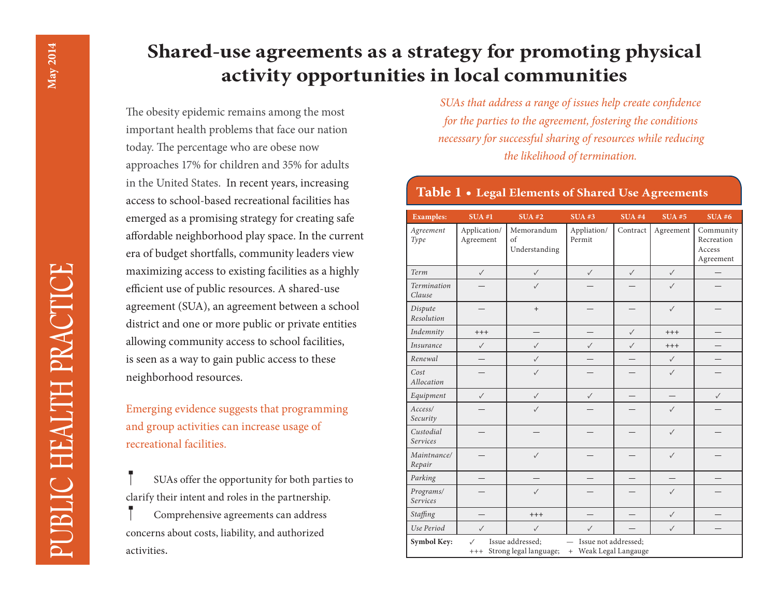# **Shared-use agreements as a strategy for promoting physical activity opportunities in local communities**

The obesity epidemic remains among the most important health problems that face our nation today. The percentage who are obese now approaches 17% for children and 35% for adults in the United States. In recent years, increasing access to school-based recreational facilities has emerged as a promising strategy for creating safe affordable neighborhood play space. In the current era of budget shortfalls, community leaders view maximizing access to existing facilities as a highly efficient use of public resources. A shared-use agreement (SUA), an agreement between a school district and one or more public or private entities allowing community access to school facilities, is seen as a way to gain public access to these neighborhood resources.

Emerging evidence suggests that programming and group activities can increase usage of recreational facilities.

 SUAs offer the opportunity for both parties to clarify their intent and roles in the partnership.

 Comprehensive agreements can address concerns about costs, liability, and authorized activities.

*SUAs that address a range of issues help create confidence for the parties to the agreement, fostering the conditions necessary for successful sharing of resources while reducing the likelihood of termination.*

## **Table 1 • Legal Elements of Shared Use Agreements**

| <b>Examples:</b>      | SUA#1                                                                                                                                                 | <b>SUA#2</b>                              | <b>SUA#3</b>          | <b>SUA#4</b> | <b>SUA#5</b> | SUA#6                                          |
|-----------------------|-------------------------------------------------------------------------------------------------------------------------------------------------------|-------------------------------------------|-----------------------|--------------|--------------|------------------------------------------------|
| Agreement<br>Type     | Application/<br>Agreement                                                                                                                             | Memorandum<br>$\sigma$ f<br>Understanding | Appliation/<br>Permit | Contract     | Agreement    | Community<br>Recreation<br>Access<br>Agreement |
| Term                  | $\checkmark$                                                                                                                                          | $\checkmark$                              | $\checkmark$          | $\checkmark$ | $\checkmark$ |                                                |
| Termination<br>Clause |                                                                                                                                                       | $\checkmark$                              |                       |              | $\checkmark$ |                                                |
| Dispute<br>Resolution |                                                                                                                                                       | $+$                                       |                       |              | $\checkmark$ |                                                |
| Indemnity             | $+++$                                                                                                                                                 |                                           |                       | $\checkmark$ | $+++$        |                                                |
| Insurance             | ✓                                                                                                                                                     | $\checkmark$                              | $\checkmark$          | $\checkmark$ | $+++$        |                                                |
| Renewal               |                                                                                                                                                       | $\checkmark$                              |                       |              | $\checkmark$ |                                                |
| Cost<br>Allocation    |                                                                                                                                                       | $\checkmark$                              |                       |              | $\checkmark$ |                                                |
| Equipment             | $\checkmark$                                                                                                                                          | $\checkmark$                              | $\checkmark$          |              |              | $\checkmark$                                   |
| Access/<br>Security   |                                                                                                                                                       | $\checkmark$                              |                       |              | $\checkmark$ |                                                |
| Custodial<br>Services |                                                                                                                                                       |                                           |                       |              | $\checkmark$ |                                                |
| Maintnance/<br>Repair |                                                                                                                                                       | $\checkmark$                              |                       |              | $\checkmark$ |                                                |
| Parking               |                                                                                                                                                       |                                           |                       |              |              |                                                |
| Programs/<br>Services |                                                                                                                                                       | $\checkmark$                              |                       |              | $\checkmark$ |                                                |
| Staffing              |                                                                                                                                                       | $^{+++}$                                  |                       |              | $\checkmark$ |                                                |
| Use Period            | $\checkmark$                                                                                                                                          | $\checkmark$                              | $\checkmark$          |              | $\checkmark$ |                                                |
| Symbol Key:           | Issue addressed;<br>Issue not addressed;<br>$\checkmark$<br>$\overline{\phantom{0}}$<br>Strong legal language;<br>Weak Legal Langauge<br>$+++$<br>$+$ |                                           |                       |              |              |                                                |